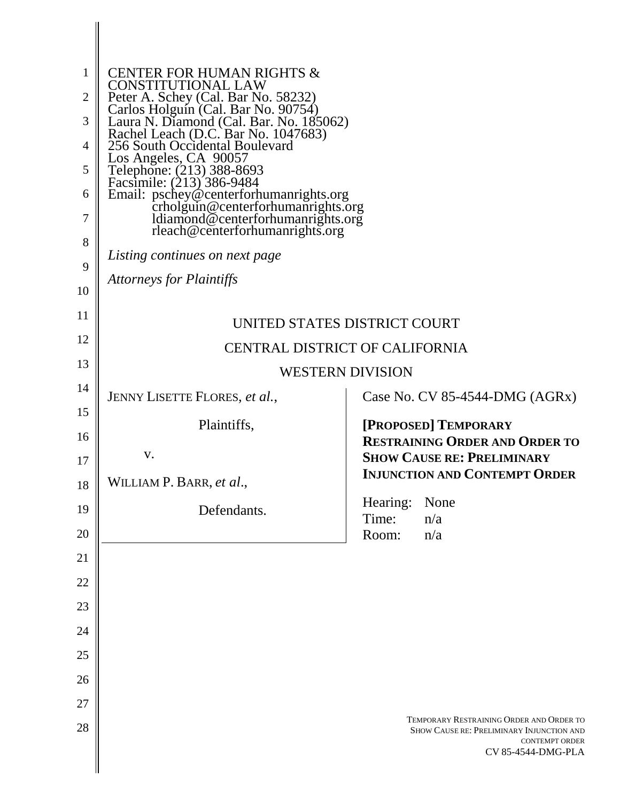| 1<br>$\overline{2}$<br>3<br>4 | <b>CENTER FOR HUMAN RIGHTS &amp;</b><br>CONSTITUTIONAL LAW<br>Peter A. Schey (Cal. Bar No. 58232)<br>Carlos Holguín (Cal. Bar No. 90754)<br>Laura N. Diamond (Cal. Bar. No. 185062)<br>Rachel Leach (D.C. Bar No. 1047683) |                                                                                                                                      |  |
|-------------------------------|----------------------------------------------------------------------------------------------------------------------------------------------------------------------------------------------------------------------------|--------------------------------------------------------------------------------------------------------------------------------------|--|
| 5                             | 256 South Occidental Boulevard<br>Los Angeles, CA 90057<br>Telephone: (213) 388-8693<br>Facsimile: (213) 386-9484<br>Email: pschey@centerforhumanrights.org                                                                |                                                                                                                                      |  |
| 6                             |                                                                                                                                                                                                                            |                                                                                                                                      |  |
| 7                             | crholguin@centerforhumanrights.org<br>ldiamond@centerforhumanrights.org                                                                                                                                                    |                                                                                                                                      |  |
| 8                             | rleach@centerforhumanrights.org                                                                                                                                                                                            |                                                                                                                                      |  |
| 9                             | Listing continues on next page<br><b>Attorneys for Plaintiffs</b>                                                                                                                                                          |                                                                                                                                      |  |
| 10                            |                                                                                                                                                                                                                            |                                                                                                                                      |  |
| 11                            | UNITED STATES DISTRICT COURT                                                                                                                                                                                               |                                                                                                                                      |  |
| 12<br>13                      | <b>CENTRAL DISTRICT OF CALIFORNIA</b>                                                                                                                                                                                      |                                                                                                                                      |  |
| 14                            | <b>WESTERN DIVISION</b>                                                                                                                                                                                                    |                                                                                                                                      |  |
| 15                            | JENNY LISETTE FLORES, et al.,                                                                                                                                                                                              | Case No. CV 85-4544-DMG $(AGRx)$                                                                                                     |  |
| 16                            | Plaintiffs,                                                                                                                                                                                                                | [PROPOSED] TEMPORARY<br><b>RESTRAINING ORDER AND ORDER TO</b>                                                                        |  |
| 17                            | V.                                                                                                                                                                                                                         | <b>SHOW CAUSE RE: PRELIMINARY</b>                                                                                                    |  |
| 18                            | WILLIAM P. BARR, et al.,                                                                                                                                                                                                   | <b>INJUNCTION AND CONTEMPT ORDER</b>                                                                                                 |  |
| 19                            | Defendants.                                                                                                                                                                                                                | Hearing:<br>None<br>Time:<br>n/a                                                                                                     |  |
| 20                            |                                                                                                                                                                                                                            | Room:<br>n/a                                                                                                                         |  |
| 21<br>22                      |                                                                                                                                                                                                                            |                                                                                                                                      |  |
| 23                            |                                                                                                                                                                                                                            |                                                                                                                                      |  |
| 24                            |                                                                                                                                                                                                                            |                                                                                                                                      |  |
| 25                            |                                                                                                                                                                                                                            |                                                                                                                                      |  |
| 26                            |                                                                                                                                                                                                                            |                                                                                                                                      |  |
| 27                            |                                                                                                                                                                                                                            |                                                                                                                                      |  |
| 28                            |                                                                                                                                                                                                                            | TEMPORARY RESTRAINING ORDER AND ORDER TO<br>SHOW CAUSE RE: PRELIMINARY INJUNCTION AND<br><b>CONTEMPT ORDER</b><br>CV 85-4544-DMG-PLA |  |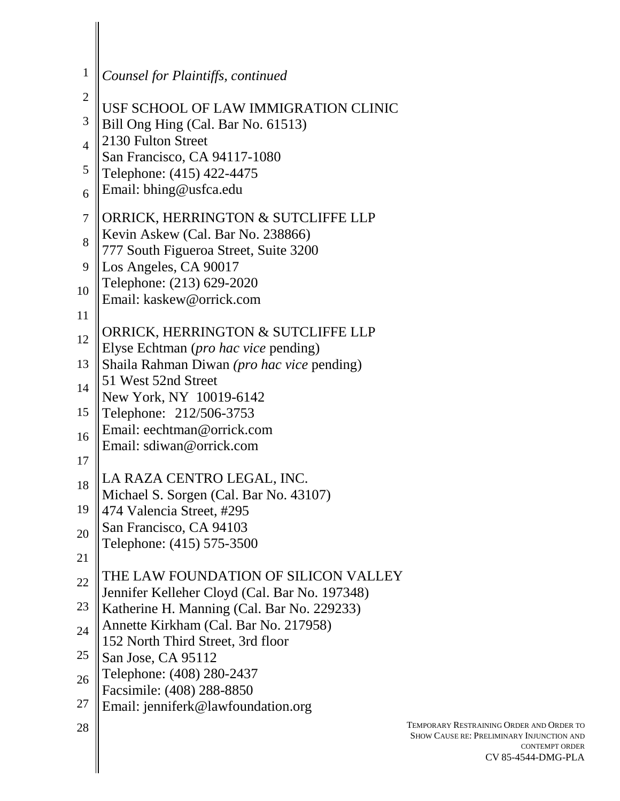| 1                   | Counsel for Plaintiffs, continued                                                     |      |
|---------------------|---------------------------------------------------------------------------------------|------|
| $\overline{2}$      | USF SCHOOL OF LAW IMMIGRATION CLINIC                                                  |      |
| 3                   | Bill Ong Hing (Cal. Bar No. 61513)                                                    |      |
| $\overline{4}$      | 2130 Fulton Street<br>San Francisco, CA 94117-1080                                    |      |
| 5                   | Telephone: (415) 422-4475<br>Email: bhing@usfca.edu                                   |      |
| 6<br>$\overline{7}$ | ORRICK, HERRINGTON & SUTCLIFFE LLP                                                    |      |
| 8                   | Kevin Askew (Cal. Bar No. 238866)                                                     |      |
| 9                   | 777 South Figueroa Street, Suite 3200<br>Los Angeles, CA 90017                        |      |
| 10                  | Telephone: (213) 629-2020<br>Email: kaskew@orrick.com                                 |      |
| 11                  |                                                                                       |      |
| 12                  | ORRICK, HERRINGTON & SUTCLIFFE LLP<br>Elyse Echtman ( <i>pro hac vice</i> pending)    |      |
| 13                  | Shaila Rahman Diwan (pro hac vice pending)<br>51 West 52nd Street                     |      |
| 14                  | New York, NY 10019-6142                                                               |      |
| 15                  | Telephone: 212/506-3753<br>Email: eechtman@orrick.com                                 |      |
| 16<br>17            | Email: sdiwan@orrick.com                                                              |      |
| 18                  | LA RAZA CENTRO LEGAL, INC.                                                            |      |
| 19                  | Michael S. Sorgen (Cal. Bar No. 43107)<br>474 Valencia Street, #295                   |      |
| 20                  | San Francisco, CA 94103<br>Telephone: (415) 575-3500                                  |      |
| 21                  |                                                                                       |      |
| 22                  | THE LAW FOUNDATION OF SILICON VALLEY<br>Jennifer Kelleher Cloyd (Cal. Bar No. 197348) |      |
| 23                  | Katherine H. Manning (Cal. Bar No. 229233)                                            |      |
| 24                  | Annette Kirkham (Cal. Bar No. 217958)<br>152 North Third Street, 3rd floor            |      |
| 25                  | San Jose, CA 95112<br>Telephone: (408) 280-2437                                       |      |
| 26<br>27            | Facsimile: (408) 288-8850                                                             |      |
| 28                  | Email: jenniferk@lawfoundation.org                                                    | TEMI |
|                     |                                                                                       | Shc  |
|                     |                                                                                       |      |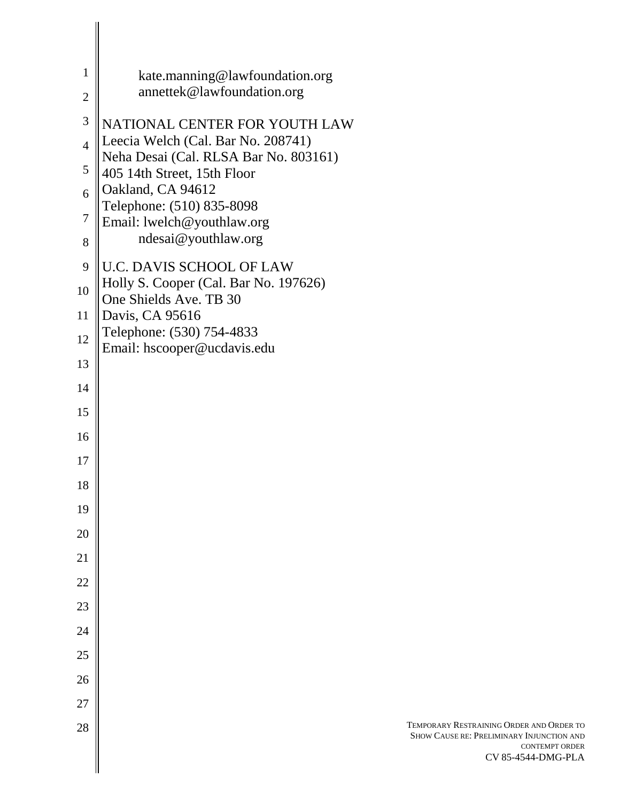| 1              | kate.manning@lawfoundation.org<br>annettek@lawfoundation.org         |                                                                                          |
|----------------|----------------------------------------------------------------------|------------------------------------------------------------------------------------------|
| $\overline{2}$ |                                                                      |                                                                                          |
| 3              | NATIONAL CENTER FOR YOUTH LAW                                        |                                                                                          |
| $\overline{4}$ | Leecia Welch (Cal. Bar No. 208741)                                   |                                                                                          |
| 5              | Neha Desai (Cal. RLSA Bar No. 803161)<br>405 14th Street, 15th Floor |                                                                                          |
| 6              | Oakland, CA 94612<br>Telephone: (510) 835-8098                       |                                                                                          |
| 7              | Email: lwelch@youthlaw.org                                           |                                                                                          |
| 8              | ndesai@youthlaw.org                                                  |                                                                                          |
| 9              | <b>U.C. DAVIS SCHOOL OF LAW</b>                                      |                                                                                          |
| 10             | Holly S. Cooper (Cal. Bar No. 197626)<br>One Shields Ave. TB 30      |                                                                                          |
| 11             | Davis, CA 95616                                                      |                                                                                          |
| 12             | Telephone: (530) 754-4833<br>Email: hscooper@ucdavis.edu             |                                                                                          |
| 13             |                                                                      |                                                                                          |
| 14             |                                                                      |                                                                                          |
| 15             |                                                                      |                                                                                          |
| 16             |                                                                      |                                                                                          |
| 17             |                                                                      |                                                                                          |
| 18             |                                                                      |                                                                                          |
| 19             |                                                                      |                                                                                          |
| 20             |                                                                      |                                                                                          |
| 21             |                                                                      |                                                                                          |
| 22             |                                                                      |                                                                                          |
| 23             |                                                                      |                                                                                          |
| 24             |                                                                      |                                                                                          |
| 25             |                                                                      |                                                                                          |
| 26             |                                                                      |                                                                                          |
| 27<br>28       |                                                                      | TEMPORARY RESTRAINING ORDER AND ORDER TO                                                 |
|                |                                                                      | SHOW CAUSE RE: PRELIMINARY INJUNCTION AND<br><b>CONTEMPT ORDER</b><br>CV 85-4544-DMG-PLA |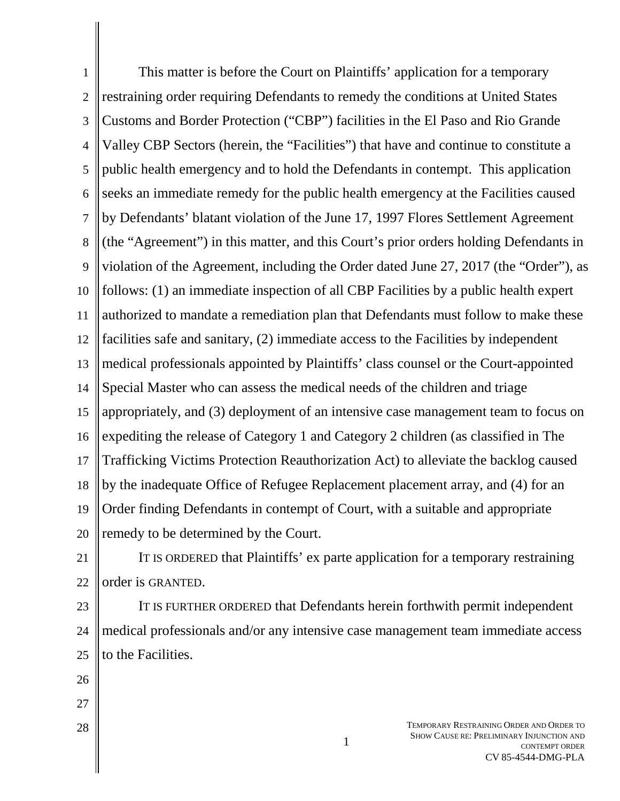1 2 3 4 5 6 7 8 9 10 11 12 13 14 15 16 17 18 19 20 This matter is before the Court on Plaintiffs' application for a temporary restraining order requiring Defendants to remedy the conditions at United States Customs and Border Protection ("CBP") facilities in the El Paso and Rio Grande Valley CBP Sectors (herein, the "Facilities") that have and continue to constitute a public health emergency and to hold the Defendants in contempt. This application seeks an immediate remedy for the public health emergency at the Facilities caused by Defendants' blatant violation of the June 17, 1997 Flores Settlement Agreement (the "Agreement") in this matter, and this Court's prior orders holding Defendants in violation of the Agreement, including the Order dated June 27, 2017 (the "Order"), as follows: (1) an immediate inspection of all CBP Facilities by a public health expert authorized to mandate a remediation plan that Defendants must follow to make these facilities safe and sanitary, (2) immediate access to the Facilities by independent medical professionals appointed by Plaintiffs' class counsel or the Court-appointed Special Master who can assess the medical needs of the children and triage appropriately, and (3) deployment of an intensive case management team to focus on expediting the release of Category 1 and Category 2 children (as classified in The Trafficking Victims Protection Reauthorization Act) to alleviate the backlog caused by the inadequate Office of Refugee Replacement placement array, and (4) for an Order finding Defendants in contempt of Court, with a suitable and appropriate remedy to be determined by the Court.

21 22 IT IS ORDERED that Plaintiffs' ex parte application for a temporary restraining order is GRANTED.

23 24 25 IT IS FURTHER ORDERED that Defendants herein forthwith permit independent medical professionals and/or any intensive case management team immediate access to the Facilities.

- 26
- 27
- 28